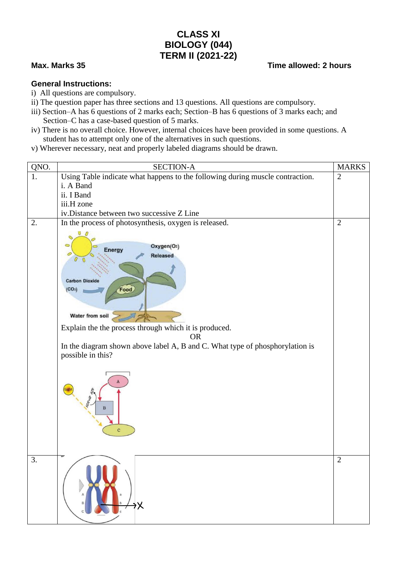## **CLASS XI BIOLOGY (044) TERM II (2021-22)**

## **Max. Marks 35 Time allowed: 2 hours**

## **General Instructions:**

- i) All questions are compulsory.
- ii) The question paper has three sections and 13 questions. All questions are compulsory.
- iii) Section–A has 6 questions of 2 marks each; Section–B has 6 questions of 3 marks each; and Section–C has a case-based question of 5 marks.
- iv) There is no overall choice. However, internal choices have been provided in some questions. A student has to attempt only one of the alternatives in such questions.
- v) Wherever necessary, neat and properly labeled diagrams should be drawn.

| QNO. | <b>SECTION-A</b>                                                                                                                                                                                                                                                                                                                                     | <b>MARKS</b>   |
|------|------------------------------------------------------------------------------------------------------------------------------------------------------------------------------------------------------------------------------------------------------------------------------------------------------------------------------------------------------|----------------|
| 1.   | Using Table indicate what happens to the following during muscle contraction.<br>i. A Band<br>ii. I Band<br>iii.H zone<br>iv.Distance between two successive Z Line                                                                                                                                                                                  | $\mathbf{2}$   |
| 2.   | In the process of photosynthesis, oxygen is released.                                                                                                                                                                                                                                                                                                | $\overline{2}$ |
|      | $\cup$ 0<br>Oxygen(O2)<br><b>Energy</b><br><b>Released</b><br><b>Carbon Dioxide</b><br><b>Food</b><br>(CO <sub>2</sub> )<br>Water from soil<br>Explain the the process through which it is produced.<br><b>OR</b><br>In the diagram shown above label A, B and C. What type of phosphorylation is<br>possible in this?<br>$\bf{B}$<br>$\overline{c}$ |                |
| 3.   | ąΧ                                                                                                                                                                                                                                                                                                                                                   | $\overline{2}$ |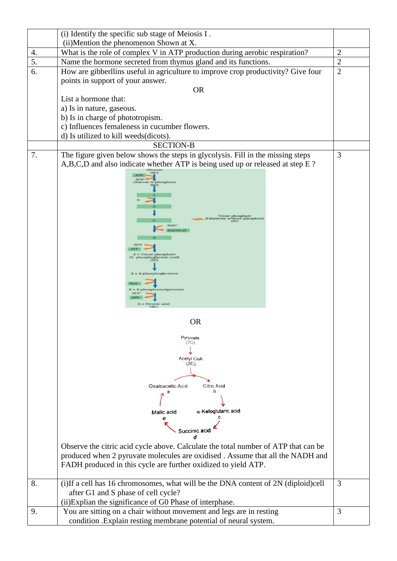|    | (i) Identify the specific sub stage of Meiosis I.                                   |                |
|----|-------------------------------------------------------------------------------------|----------------|
|    | (ii)Mention the phenomenon Shown at X.                                              |                |
| 4. | What is the role of complex V in ATP production during aerobic respiration?         | $\overline{2}$ |
| 5. | Name the hormone secreted from thymus gland and its functions.                      | $\mathbf{2}$   |
| 6. | How are gibberllins useful in agriculture to improve crop productivity? Give four   | $\overline{2}$ |
|    | points in support of your answer.                                                   |                |
|    | <b>OR</b>                                                                           |                |
|    | List a hormone that:                                                                |                |
|    | a) Is in nature, gaseous.                                                           |                |
|    | b) Is in charge of phototropism.                                                    |                |
|    | c) Influences femaleness in cucumber flowers.                                       |                |
|    | d) Is utilized to kill weeds(dicots).                                               |                |
|    | <b>SECTION-B</b>                                                                    |                |
| 7. | The figure given below shows the steps in glycolysis. Fill in the missing steps     | 3              |
|    | A,B,C,D and also indicate whether ATP is being used up or released at step E?       |                |
|    | (GC)<br>ATI                                                                         |                |
|    | <b>ADP</b><br>Glucose-6-phosphate<br>(6C)                                           |                |
|    |                                                                                     |                |
|    |                                                                                     |                |
|    |                                                                                     |                |
|    | Triose phosphate<br>(Dihydroxy acetone phosphate)<br>(3C)                           |                |
|    | <b>NAD</b><br>NADH+H <sup>+</sup>                                                   |                |
|    |                                                                                     |                |
|    |                                                                                     |                |
|    | <b>Triose</b> phosphate<br>3- phosphoglyceric acid)<br>(3C)                         |                |
|    |                                                                                     |                |
|    | $2 \times 2$ -phosphoglycerate                                                      |                |
|    |                                                                                     |                |
|    | $2 \times 2$ -phosphoenolpyruvate<br><b>ADP</b>                                     |                |
|    | $2 \times$ Pyruvic acid<br>(3C)                                                     |                |
|    |                                                                                     |                |
|    | <b>OR</b>                                                                           |                |
|    | Pyruvate                                                                            |                |
|    | (3C)                                                                                |                |
|    | Acetyl CoA                                                                          |                |
|    | (2C)                                                                                |                |
|    |                                                                                     |                |
|    | Oxaloacetic Acid<br>Citric Acid                                                     |                |
|    | h                                                                                   |                |
|    |                                                                                     |                |
|    | $\alpha$ -Ketoglutaric acid<br>Malic acid                                           |                |
|    | θ                                                                                   |                |
|    | Succinic acid                                                                       |                |
|    |                                                                                     |                |
|    | Observe the citric acid cycle above. Calculate the total number of ATP that can be  |                |
|    | produced when 2 pyruvate molecules are oxidised. Assume that all the NADH and       |                |
|    | FADH produced in this cycle are further oxidized to yield ATP.                      |                |
|    |                                                                                     |                |
| 8. | (i) If a cell has 16 chromosomes, what will be the DNA content of 2N (diploid) cell | 3              |
|    | after G1 and S phase of cell cycle?                                                 |                |
|    | (ii) Explian the significance of G0 Phase of interphase.                            |                |
| 9. | You are sitting on a chair without movement and legs are in resting                 | 3              |
|    | condition .Explain resting membrane potential of neural system.                     |                |